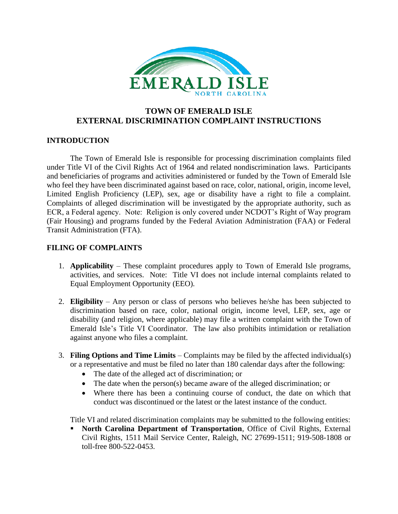

## **TOWN OF EMERALD ISLE EXTERNAL DISCRIMINATION COMPLAINT INSTRUCTIONS**

## **INTRODUCTION**

The Town of Emerald Isle is responsible for processing discrimination complaints filed under Title VI of the Civil Rights Act of 1964 and related nondiscrimination laws. Participants and beneficiaries of programs and activities administered or funded by the Town of Emerald Isle who feel they have been discriminated against based on race, color, national, origin, income level, Limited English Proficiency (LEP), sex, age or disability have a right to file a complaint. Complaints of alleged discrimination will be investigated by the appropriate authority, such as ECR, a Federal agency. Note: Religion is only covered under NCDOT's Right of Way program (Fair Housing) and programs funded by the Federal Aviation Administration (FAA) or Federal Transit Administration (FTA).

## **FILING OF COMPLAINTS**

- 1. **Applicability** These complaint procedures apply to Town of Emerald Isle programs, activities, and services. Note: Title VI does not include internal complaints related to Equal Employment Opportunity (EEO).
- 2. **Eligibility** Any person or class of persons who believes he/she has been subjected to discrimination based on race, color, national origin, income level, LEP, sex, age or disability (and religion, where applicable) may file a written complaint with the Town of Emerald Isle's Title VI Coordinator. The law also prohibits intimidation or retaliation against anyone who files a complaint.
- 3. **Filing Options and Time Limits** Complaints may be filed by the affected individual(s) or a representative and must be filed no later than 180 calendar days after the following:
	- The date of the alleged act of discrimination; or
	- The date when the person(s) became aware of the alleged discrimination; or
	- Where there has been a continuing course of conduct, the date on which that conduct was discontinued or the latest or the latest instance of the conduct.

Title VI and related discrimination complaints may be submitted to the following entities:

**EXECUTE:** North Carolina Department of Transportation, Office of Civil Rights, External Civil Rights, 1511 Mail Service Center, Raleigh, NC 27699-1511; 919-508-1808 or toll-free 800-522-0453.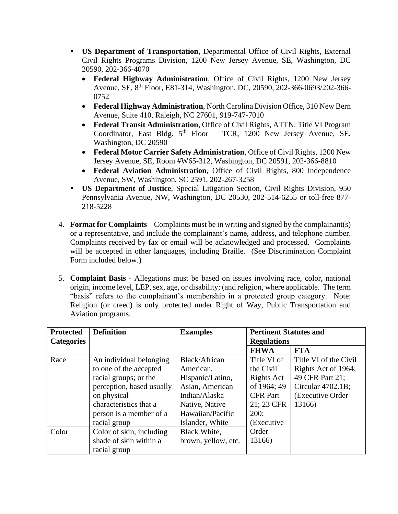- **US Department of Transportation**, Departmental Office of Civil Rights, External Civil Rights Programs Division, 1200 New Jersey Avenue, SE, Washington, DC 20590, 202-366-4070
	- **Federal Highway Administration**, Office of Civil Rights, 1200 New Jersey Avenue, SE, 8th Floor, E81-314, Washington, DC, 20590, 202-366-0693/202-366- 0752
	- **Federal Highway Administration**, North Carolina Division Office, 310 New Bern Avenue, Suite 410, Raleigh, NC 27601, 919-747-7010
	- **Federal Transit Administration**, Office of Civil Rights, ATTN: Title VI Program Coordinator, East Bldg.  $5<sup>th</sup>$  Floor – TCR, 1200 New Jersey Avenue, SE, Washington, DC 20590
	- **Federal Motor Carrier Safety Administration**, Office of Civil Rights, 1200 New Jersey Avenue, SE, Room #W65-312, Washington, DC 20591, 202-366-8810
	- **Federal Aviation Administration**, Office of Civil Rights, 800 Independence Avenue, SW, Washington, SC 2591, 202-267-3258
- **US Department of Justice**, Special Litigation Section, Civil Rights Division, 950 Pennsylvania Avenue, NW, Washington, DC 20530, 202-514-6255 or toll-free 877- 218-5228
- 4. **Format for Complaints** Complaints must be in writing and signed by the complainant(s) or a representative, and include the complainant's name, address, and telephone number. Complaints received by fax or email will be acknowledged and processed. Complaints will be accepted in other languages, including Braille. (See Discrimination Complaint Form included below.)
- 5. **Complaint Basis** Allegations must be based on issues involving race, color, national origin, income level, LEP, sex, age, or disability; (and religion, where applicable. The term "basis" refers to the complainant's membership in a protected group category. Note: Religion (or creed) is only protected under Right of Way, Public Transportation and Aviation programs.

| <b>Protected</b>  | <b>Definition</b>         | <b>Examples</b>     | <b>Pertinent Statutes and</b> |                       |
|-------------------|---------------------------|---------------------|-------------------------------|-----------------------|
| <b>Categories</b> |                           |                     | <b>Regulations</b>            |                       |
|                   |                           |                     | <b>FHWA</b>                   | <b>FTA</b>            |
| Race              | An individual belonging   | Black/African       | Title VI of                   | Title VI of the Civil |
|                   | to one of the accepted    | American,           | the Civil                     | Rights Act of 1964;   |
|                   | racial groups; or the     | Hispanic/Latino,    | Rights Act                    | 49 CFR Part 21;       |
|                   | perception, based usually | Asian, American     | of 1964; 49                   | Circular 4702.1B;     |
|                   | on physical               | Indian/Alaska       | <b>CFR</b> Part               | (Executive Order)     |
|                   | characteristics that a    | Native, Native      | 21; 23 CFR                    | 13166)                |
|                   | person is a member of a   | Hawaiian/Pacific    | 200;                          |                       |
|                   | racial group              | Islander, White     | (Executive                    |                       |
| Color             | Color of skin, including  | Black White,        | Order                         |                       |
|                   | shade of skin within a    | brown, yellow, etc. | 13166)                        |                       |
|                   | racial group              |                     |                               |                       |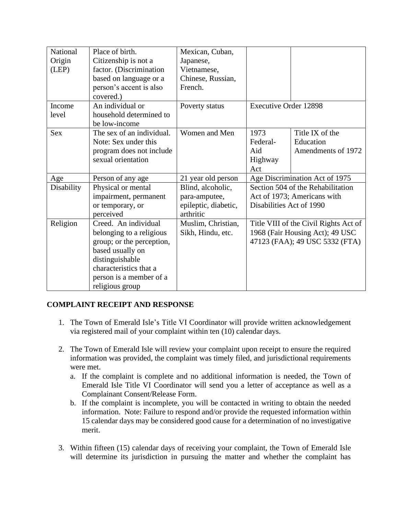| National   | Place of birth.           | Mexican, Cuban,      |                                       |                                |
|------------|---------------------------|----------------------|---------------------------------------|--------------------------------|
| Origin     | Citizenship is not a      | Japanese,            |                                       |                                |
| (LEP)      | factor. (Discrimination   | Vietnamese,          |                                       |                                |
|            | based on language or a    | Chinese, Russian,    |                                       |                                |
|            | person's accent is also   | French.              |                                       |                                |
|            | covered.)                 |                      |                                       |                                |
| Income     | An individual or          | Poverty status       | <b>Executive Order 12898</b>          |                                |
| level      | household determined to   |                      |                                       |                                |
|            | be low-income             |                      |                                       |                                |
| <b>Sex</b> | The sex of an individual. | Women and Men        | 1973                                  | Title IX of the                |
|            | Note: Sex under this      |                      | Federal-                              | Education                      |
|            | program does not include  |                      | Aid                                   | Amendments of 1972             |
|            | sexual orientation        |                      | Highway                               |                                |
|            |                           |                      | Act                                   |                                |
| Age        | Person of any age         | 21 year old person   | Age Discrimination Act of 1975        |                                |
| Disability | Physical or mental        | Blind, alcoholic,    | Section 504 of the Rehabilitation     |                                |
|            | impairment, permanent     | para-amputee,        | Act of 1973; Americans with           |                                |
|            | or temporary, or          | epileptic, diabetic, | Disabilities Act of 1990              |                                |
|            | perceived                 | arthritic            |                                       |                                |
| Religion   | Creed. An individual      | Muslim, Christian,   | Title VIII of the Civil Rights Act of |                                |
|            | belonging to a religious  | Sikh, Hindu, etc.    | 1968 (Fair Housing Act); 49 USC       |                                |
|            | group; or the perception, |                      |                                       | 47123 (FAA); 49 USC 5332 (FTA) |
|            | based usually on          |                      |                                       |                                |
|            | distinguishable           |                      |                                       |                                |
|            | characteristics that a    |                      |                                       |                                |
|            | person is a member of a   |                      |                                       |                                |
|            | religious group           |                      |                                       |                                |

## **COMPLAINT RECEIPT AND RESPONSE**

- 1. The Town of Emerald Isle's Title VI Coordinator will provide written acknowledgement via registered mail of your complaint within ten (10) calendar days.
- 2. The Town of Emerald Isle will review your complaint upon receipt to ensure the required information was provided, the complaint was timely filed, and jurisdictional requirements were met.
	- a. If the complaint is complete and no additional information is needed, the Town of Emerald Isle Title VI Coordinator will send you a letter of acceptance as well as a Complainant Consent/Release Form.
	- b. If the complaint is incomplete, you will be contacted in writing to obtain the needed information. Note: Failure to respond and/or provide the requested information within 15 calendar days may be considered good cause for a determination of no investigative merit.
- 3. Within fifteen (15) calendar days of receiving your complaint, the Town of Emerald Isle will determine its jurisdiction in pursuing the matter and whether the complaint has